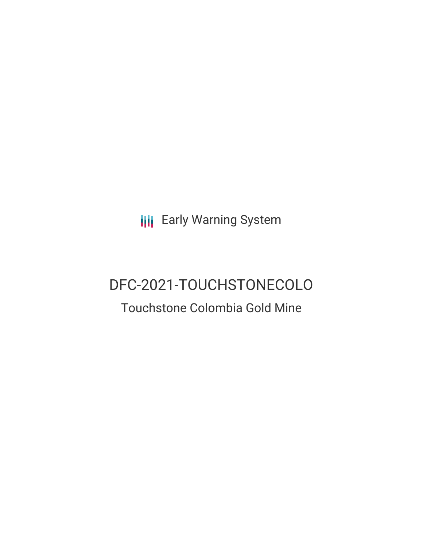**III** Early Warning System

# DFC-2021-TOUCHSTONECOLO

## Touchstone Colombia Gold Mine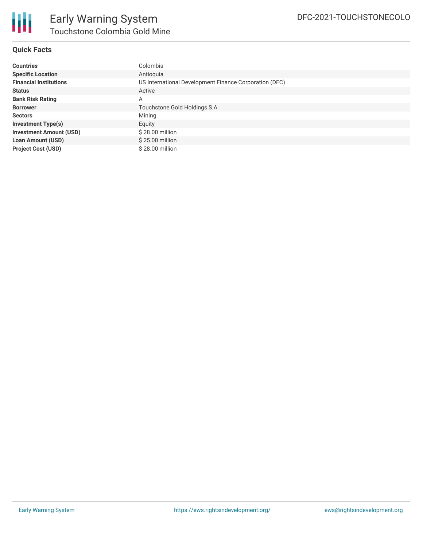

#### **Quick Facts**

| <b>Countries</b>               | Colombia                                               |
|--------------------------------|--------------------------------------------------------|
| <b>Specific Location</b>       | Antioquia                                              |
| <b>Financial Institutions</b>  | US International Development Finance Corporation (DFC) |
| <b>Status</b>                  | Active                                                 |
| <b>Bank Risk Rating</b>        | Α                                                      |
| <b>Borrower</b>                | Touchstone Gold Holdings S.A.                          |
| <b>Sectors</b>                 | Mining                                                 |
| <b>Investment Type(s)</b>      | Equity                                                 |
| <b>Investment Amount (USD)</b> | \$28.00 million                                        |
| <b>Loan Amount (USD)</b>       | \$25.00 million                                        |
| <b>Project Cost (USD)</b>      | \$28,00 million                                        |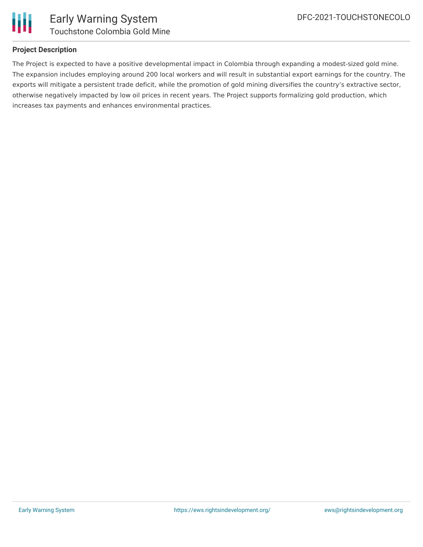

#### **Project Description**

The Project is expected to have a positive developmental impact in Colombia through expanding a modest-sized gold mine. The expansion includes employing around 200 local workers and will result in substantial export earnings for the country. The exports will mitigate a persistent trade deficit, while the promotion of gold mining diversifies the country's extractive sector, otherwise negatively impacted by low oil prices in recent years. The Project supports formalizing gold production, which increases tax payments and enhances environmental practices.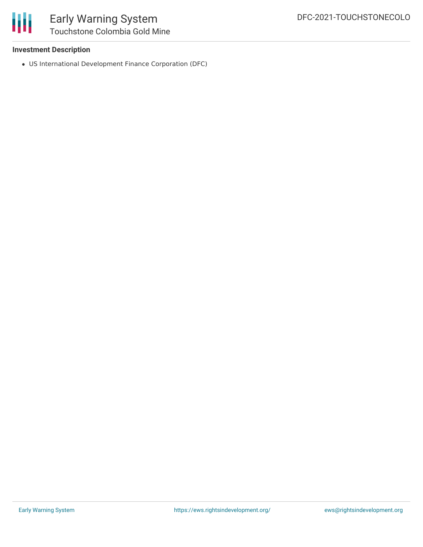

### Early Warning System Touchstone Colombia Gold Mine

#### **Investment Description**

US International Development Finance Corporation (DFC)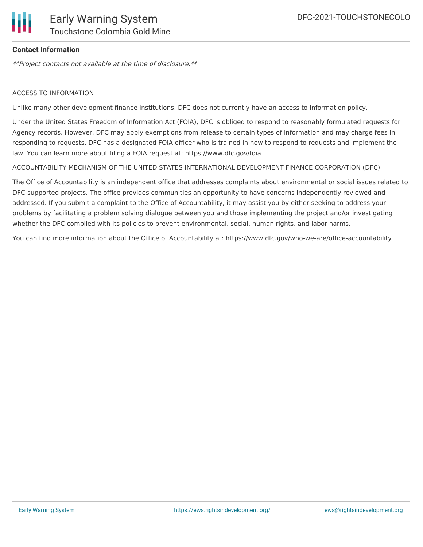

#### **Contact Information**

\*\*Project contacts not available at the time of disclosure.\*\*

#### ACCESS TO INFORMATION

Unlike many other development finance institutions, DFC does not currently have an access to information policy.

Under the United States Freedom of Information Act (FOIA), DFC is obliged to respond to reasonably formulated requests for Agency records. However, DFC may apply exemptions from release to certain types of information and may charge fees in responding to requests. DFC has a designated FOIA officer who is trained in how to respond to requests and implement the law. You can learn more about filing a FOIA request at: https://www.dfc.gov/foia

#### ACCOUNTABILITY MECHANISM OF THE UNITED STATES INTERNATIONAL DEVELOPMENT FINANCE CORPORATION (DFC)

The Office of Accountability is an independent office that addresses complaints about environmental or social issues related to DFC-supported projects. The office provides communities an opportunity to have concerns independently reviewed and addressed. If you submit a complaint to the Office of Accountability, it may assist you by either seeking to address your problems by facilitating a problem solving dialogue between you and those implementing the project and/or investigating whether the DFC complied with its policies to prevent environmental, social, human rights, and labor harms.

You can find more information about the Office of Accountability at: https://www.dfc.gov/who-we-are/office-accountability